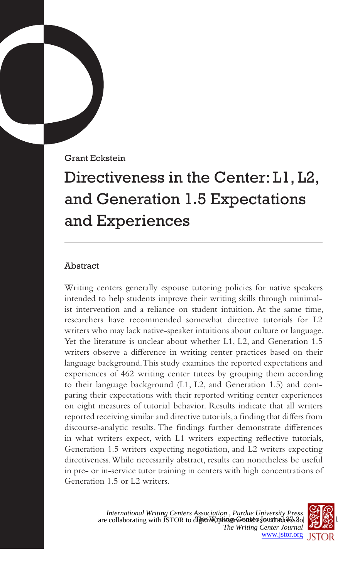Grant Eckstein

# Directiveness in the Center: L1, L2, and Generation 1.5 Expectations and Experiences

# Abstract

Writing centers generally espouse tutoring policies for native speakers intended to help students improve their writing skills through minimalist intervention and a reliance on student intuition. At the same time, researchers have recommended somewhat directive tutorials for L2 writers who may lack native-speaker intuitions about culture or language. Yet the literature is unclear about whether L1, L2, and Generation 1.5 writers observe a difference in writing center practices based on their language background. This study examines the reported expectations and experiences of 462 writing center tutees by grouping them according to their language background (L1, L2, and Generation 1.5) and comparing their expectations with their reported writing center experiences on eight measures of tutorial behavior. Results indicate that all writers reported receiving similar and directive tutorials, a finding that differs from discourse-analytic results. The findings further demonstrate differences in what writers expect, with L1 writers expecting reflective tutorials, Generation 1.5 writers expecting negotiation, and L2 writers expecting directiveness. While necessarily abstract, results can nonetheless be useful in pre- or in-service tutor training in centers with high concentrations of Generation 1.5 or L2 writers.

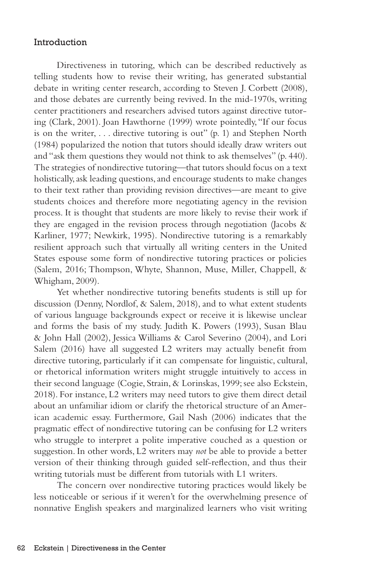# Introduction

Directiveness in tutoring, which can be described reductively as telling students how to revise their writing, has generated substantial debate in writing center research, according to Steven J. Corbett (2008), and those debates are currently being revived. In the mid-1970s, writing center practitioners and researchers advised tutors against directive tutoring (Clark, 2001). Joan Hawthorne (1999) wrote pointedly, "If our focus is on the writer, . . . directive tutoring is out" (p. 1) and Stephen North (1984) popularized the notion that tutors should ideally draw writers out and "ask them questions they would not think to ask themselves" (p. 440). The strategies of nondirective tutoring—that tutors should focus on a text holistically, ask leading questions, and encourage students to make changes to their text rather than providing revision directives—are meant to give students choices and therefore more negotiating agency in the revision process. It is thought that students are more likely to revise their work if they are engaged in the revision process through negotiation (Jacobs  $\&$ Karliner, 1977; Newkirk, 1995). Nondirective tutoring is a remarkably resilient approach such that virtually all writing centers in the United States espouse some form of nondirective tutoring practices or policies (Salem, 2016; Thompson, Whyte, Shannon, Muse, Miller, Chappell, & Whigham, 2009).

Yet whether nondirective tutoring benefits students is still up for discussion (Denny, Nordlof, & Salem, 2018), and to what extent students of various language backgrounds expect or receive it is likewise unclear and forms the basis of my study. Judith K. Powers (1993), Susan Blau & John Hall (2002), Jessica Williams & Carol Severino (2004), and Lori Salem (2016) have all suggested L2 writers may actually benefit from directive tutoring, particularly if it can compensate for linguistic, cultural, or rhetorical information writers might struggle intuitively to access in their second language (Cogie, Strain, & Lorinskas, 1999; see also Eckstein, 2018). For instance, L2 writers may need tutors to give them direct detail about an unfamiliar idiom or clarify the rhetorical structure of an American academic essay. Furthermore, Gail Nash (2006) indicates that the pragmatic effect of nondirective tutoring can be confusing for L2 writers who struggle to interpret a polite imperative couched as a question or suggestion. In other words, L2 writers may *not* be able to provide a better version of their thinking through guided self-reflection, and thus their writing tutorials must be different from tutorials with L1 writers.

The concern over nondirective tutoring practices would likely be less noticeable or serious if it weren't for the overwhelming presence of nonnative English speakers and marginalized learners who visit writing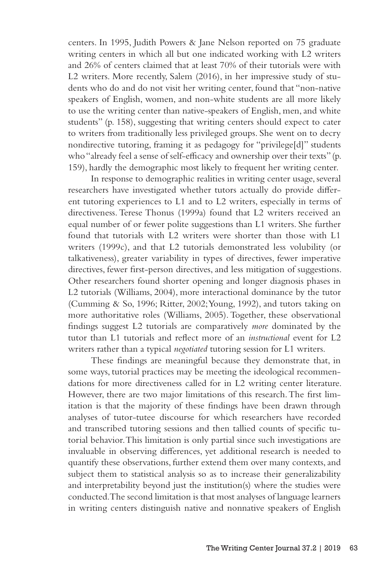centers. In 1995, Judith Powers & Jane Nelson reported on 75 graduate writing centers in which all but one indicated working with L2 writers and 26% of centers claimed that at least 70% of their tutorials were with L2 writers. More recently, Salem (2016), in her impressive study of students who do and do not visit her writing center, found that "non-native speakers of English, women, and non-white students are all more likely to use the writing center than native-speakers of English, men, and white students" (p. 158), suggesting that writing centers should expect to cater to writers from traditionally less privileged groups. She went on to decry nondirective tutoring, framing it as pedagogy for "privilege[d]" students who "already feel a sense of self-efficacy and ownership over their texts" (p. 159), hardly the demographic most likely to frequent her writing center.

In response to demographic realities in writing center usage, several researchers have investigated whether tutors actually do provide different tutoring experiences to L1 and to L2 writers, especially in terms of directiveness. Terese Thonus (1999a) found that L2 writers received an equal number of or fewer polite suggestions than L1 writers. She further found that tutorials with L2 writers were shorter than those with L1 writers (1999c), and that L2 tutorials demonstrated less volubility (or talkativeness), greater variability in types of directives, fewer imperative directives, fewer first-person directives, and less mitigation of suggestions. Other researchers found shorter opening and longer diagnosis phases in L2 tutorials (Williams, 2004), more interactional dominance by the tutor (Cumming & So, 1996; Ritter, 2002; Young, 1992), and tutors taking on more authoritative roles (Williams, 2005). Together, these observational findings suggest L2 tutorials are comparatively *more* dominated by the tutor than L1 tutorials and reflect more of an *instructional* event for L2 writers rather than a typical *negotiated* tutoring session for L1 writers.

These findings are meaningful because they demonstrate that, in some ways, tutorial practices may be meeting the ideological recommendations for more directiveness called for in L2 writing center literature. However, there are two major limitations of this research. The first limitation is that the majority of these findings have been drawn through analyses of tutor-tutee discourse for which researchers have recorded and transcribed tutoring sessions and then tallied counts of specific tutorial behavior. This limitation is only partial since such investigations are invaluable in observing differences, yet additional research is needed to quantify these observations, further extend them over many contexts, and subject them to statistical analysis so as to increase their generalizability and interpretability beyond just the institution(s) where the studies were conducted. The second limitation is that most analyses of language learners in writing centers distinguish native and nonnative speakers of English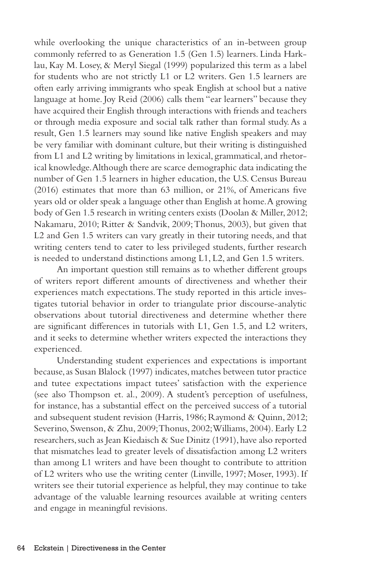while overlooking the unique characteristics of an in-between group commonly referred to as Generation 1.5 (Gen 1.5) learners. Linda Harklau, Kay M. Losey, & Meryl Siegal (1999) popularized this term as a label for students who are not strictly L1 or L2 writers. Gen 1.5 learners are often early arriving immigrants who speak English at school but a native language at home. Joy Reid (2006) calls them "ear learners" because they have acquired their English through interactions with friends and teachers or through media exposure and social talk rather than formal study. As a result, Gen 1.5 learners may sound like native English speakers and may be very familiar with dominant culture, but their writing is distinguished from L1 and L2 writing by limitations in lexical, grammatical, and rhetorical knowledge. Although there are scarce demographic data indicating the number of Gen 1.5 learners in higher education, the U.S. Census Bureau (2016) estimates that more than 63 million, or 21%, of Americans five years old or older speak a language other than English at home. A growing body of Gen 1.5 research in writing centers exists (Doolan & Miller, 2012; Nakamaru, 2010; Ritter & Sandvik, 2009; Thonus, 2003), but given that L2 and Gen 1.5 writers can vary greatly in their tutoring needs, and that writing centers tend to cater to less privileged students, further research is needed to understand distinctions among L1, L2, and Gen 1.5 writers.

An important question still remains as to whether different groups of writers report different amounts of directiveness and whether their experiences match expectations. The study reported in this article investigates tutorial behavior in order to triangulate prior discourse-analytic observations about tutorial directiveness and determine whether there are significant differences in tutorials with L1, Gen 1.5, and L2 writers, and it seeks to determine whether writers expected the interactions they experienced.

Understanding student experiences and expectations is important because, as Susan Blalock (1997) indicates, matches between tutor practice and tutee expectations impact tutees' satisfaction with the experience (see also Thompson et. al., 2009). A student's perception of usefulness, for instance, has a substantial effect on the perceived success of a tutorial and subsequent student revision (Harris, 1986; Raymond & Quinn, 2012; Severino, Swenson, & Zhu, 2009; Thonus, 2002; Williams, 2004). Early L2 researchers, such as Jean Kiedaisch & Sue Dinitz (1991), have also reported that mismatches lead to greater levels of dissatisfaction among L2 writers than among L1 writers and have been thought to contribute to attrition of L2 writers who use the writing center (Linville, 1997; Moser, 1993). If writers see their tutorial experience as helpful, they may continue to take advantage of the valuable learning resources available at writing centers and engage in meaningful revisions.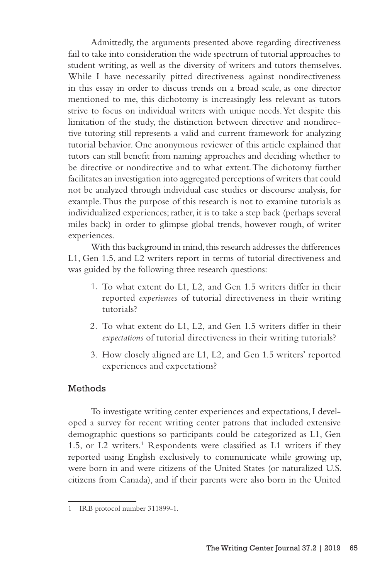Admittedly, the arguments presented above regarding directiveness fail to take into consideration the wide spectrum of tutorial approaches to student writing, as well as the diversity of writers and tutors themselves. While I have necessarily pitted directiveness against nondirectiveness in this essay in order to discuss trends on a broad scale, as one director mentioned to me, this dichotomy is increasingly less relevant as tutors strive to focus on individual writers with unique needs. Yet despite this limitation of the study, the distinction between directive and nondirective tutoring still represents a valid and current framework for analyzing tutorial behavior. One anonymous reviewer of this article explained that tutors can still benefit from naming approaches and deciding whether to be directive or nondirective and to what extent. The dichotomy further facilitates an investigation into aggregated perceptions of writers that could not be analyzed through individual case studies or discourse analysis, for example. Thus the purpose of this research is not to examine tutorials as individualized experiences; rather, it is to take a step back (perhaps several miles back) in order to glimpse global trends, however rough, of writer experiences.

With this background in mind, this research addresses the differences L1, Gen 1.5, and L2 writers report in terms of tutorial directiveness and was guided by the following three research questions:

- 1. To what extent do L1, L2, and Gen 1.5 writers differ in their reported *experiences* of tutorial directiveness in their writing tutorials?
- 2. To what extent do L1, L2, and Gen 1.5 writers differ in their *expectations* of tutorial directiveness in their writing tutorials?
- 3. How closely aligned are L1, L2, and Gen 1.5 writers' reported experiences and expectations?

# Methods

To investigate writing center experiences and expectations, I developed a survey for recent writing center patrons that included extensive demographic questions so participants could be categorized as L1, Gen 1.5, or L2 writers.<sup>1</sup> Respondents were classified as L1 writers if they reported using English exclusively to communicate while growing up, were born in and were citizens of the United States (or naturalized U.S. citizens from Canada), and if their parents were also born in the United

<sup>1</sup> IRB protocol number 311899-1.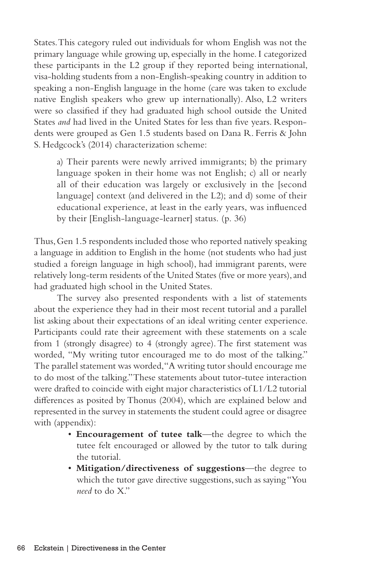States. This category ruled out individuals for whom English was not the primary language while growing up, especially in the home. I categorized these participants in the L2 group if they reported being international, visa-holding students from a non-English-speaking country in addition to speaking a non-English language in the home (care was taken to exclude native English speakers who grew up internationally). Also, L2 writers were so classified if they had graduated high school outside the United States *and* had lived in the United States for less than five years. Respondents were grouped as Gen 1.5 students based on Dana R. Ferris & John S. Hedgcock's (2014) characterization scheme:

a) Their parents were newly arrived immigrants; b) the primary language spoken in their home was not English; c) all or nearly all of their education was largely or exclusively in the [second language] context (and delivered in the L2); and d) some of their educational experience, at least in the early years, was influenced by their [English-language-learner] status. (p. 36)

Thus, Gen 1.5 respondents included those who reported natively speaking a language in addition to English in the home (not students who had just studied a foreign language in high school), had immigrant parents, were relatively long-term residents of the United States (five or more years), and had graduated high school in the United States.

The survey also presented respondents with a list of statements about the experience they had in their most recent tutorial and a parallel list asking about their expectations of an ideal writing center experience. Participants could rate their agreement with these statements on a scale from 1 (strongly disagree) to 4 (strongly agree). The first statement was worded, "My writing tutor encouraged me to do most of the talking." The parallel statement was worded, "A writing tutor should encourage me to do most of the talking." These statements about tutor-tutee interaction were drafted to coincide with eight major characteristics of L1/L2 tutorial differences as posited by Thonus (2004), which are explained below and represented in the survey in statements the student could agree or disagree with (appendix):

- **Encouragement of tutee talk**—the degree to which the tutee felt encouraged or allowed by the tutor to talk during the tutorial.
- **Mitigation/directiveness of suggestions**—the degree to which the tutor gave directive suggestions, such as saying "You *need* to do X."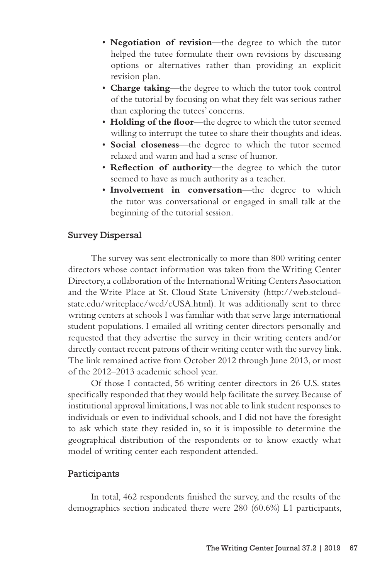- **Negotiation of revision**—the degree to which the tutor helped the tutee formulate their own revisions by discussing options or alternatives rather than providing an explicit revision plan.
- **Charge taking**—the degree to which the tutor took control of the tutorial by focusing on what they felt was serious rather than exploring the tutees' concerns.
- **Holding of the floor**—the degree to which the tutor seemed willing to interrupt the tutee to share their thoughts and ideas.
- **Social closeness**—the degree to which the tutor seemed relaxed and warm and had a sense of humor.
- **Reflection of authority**—the degree to which the tutor seemed to have as much authority as a teacher.
- **Involvement in conversation**—the degree to which the tutor was conversational or engaged in small talk at the beginning of the tutorial session.

## Survey Dispersal

The survey was sent electronically to more than 800 writing center directors whose contact information was taken from the Writing Center Directory, a collaboration of the International Writing Centers Association and the Write Place at St. Cloud State University (http://web.stcloudstate.edu/writeplace/wcd/cUSA.html). It was additionally sent to three writing centers at schools I was familiar with that serve large international student populations. I emailed all writing center directors personally and requested that they advertise the survey in their writing centers and/or directly contact recent patrons of their writing center with the survey link. The link remained active from October 2012 through June 2013, or most of the 2012–2013 academic school year.

Of those I contacted, 56 writing center directors in 26 U.S. states specifically responded that they would help facilitate the survey. Because of institutional approval limitations, I was not able to link student responses to individuals or even to individual schools, and I did not have the foresight to ask which state they resided in, so it is impossible to determine the geographical distribution of the respondents or to know exactly what model of writing center each respondent attended.

## Participants

In total, 462 respondents finished the survey, and the results of the demographics section indicated there were 280 (60.6%) L1 participants,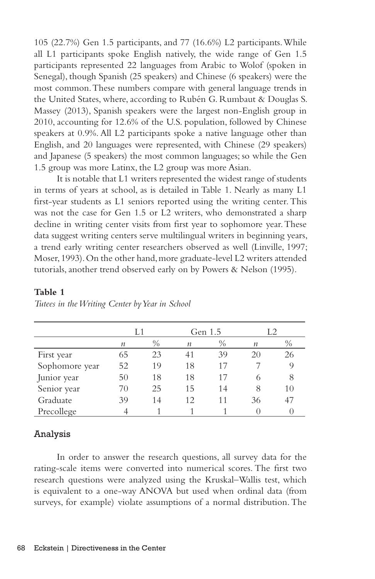105 (22.7%) Gen 1.5 participants, and 77 (16.6%) L2 participants. While all L1 participants spoke English natively, the wide range of Gen 1.5 participants represented 22 languages from Arabic to Wolof (spoken in Senegal), though Spanish (25 speakers) and Chinese (6 speakers) were the most common. These numbers compare with general language trends in the United States, where, according to Rubén G. Rumbaut & Douglas S. Massey (2013), Spanish speakers were the largest non-English group in 2010, accounting for 12.6% of the U.S. population, followed by Chinese speakers at 0.9%. All L2 participants spoke a native language other than English, and 20 languages were represented, with Chinese (29 speakers) and Japanese (5 speakers) the most common languages; so while the Gen 1.5 group was more Latinx, the L2 group was more Asian.

It is notable that L1 writers represented the widest range of students in terms of years at school, as is detailed in Table 1. Nearly as many L1 first-year students as L1 seniors reported using the writing center. This was not the case for Gen 1.5 or L2 writers, who demonstrated a sharp decline in writing center visits from first year to sophomore year. These data suggest writing centers serve multilingual writers in beginning years, a trend early writing center researchers observed as well (Linville, 1997; Moser, 1993). On the other hand, more graduate-level L2 writers attended tutorials, another trend observed early on by Powers & Nelson (1995).

|                | L1               |               | Gen 1.5 |      | L2               |               |
|----------------|------------------|---------------|---------|------|------------------|---------------|
|                | $\boldsymbol{n}$ | $\frac{0}{0}$ | п       | $\%$ | $\boldsymbol{n}$ | $\frac{0}{0}$ |
| First year     | 65               | 23            | 41      | 39   | 20               | 26            |
| Sophomore year | 52               | 19            | 18      | 17   |                  |               |
| Junior year    | 50               | 18            | 18      | 17   | 6                | 8             |
| Senior year    | 70               | 25            | 15      | 14   | 8                | 10            |
| Graduate       | 39               | 14            | 12.     | 11   | 36               | 47            |
| Precollege     |                  |               |         |      |                  |               |

#### **Table 1**

# Analysis

In order to answer the research questions, all survey data for the rating-scale items were converted into numerical scores. The first two research questions were analyzed using the Kruskal–Wallis test, which is equivalent to a one-way ANOVA but used when ordinal data (from surveys, for example) violate assumptions of a normal distribution. The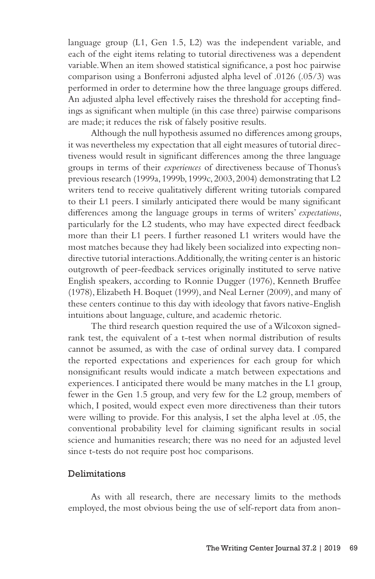language group (L1, Gen 1.5, L2) was the independent variable, and each of the eight items relating to tutorial directiveness was a dependent variable. When an item showed statistical significance, a post hoc pairwise comparison using a Bonferroni adjusted alpha level of .0126 (.05/3) was performed in order to determine how the three language groups differed. An adjusted alpha level effectively raises the threshold for accepting findings as significant when multiple (in this case three) pairwise comparisons are made; it reduces the risk of falsely positive results.

Although the null hypothesis assumed no differences among groups, it was nevertheless my expectation that all eight measures of tutorial directiveness would result in significant differences among the three language groups in terms of their *experiences* of directiveness because of Thonus's previous research (1999a, 1999b, 1999c, 2003, 2004) demonstrating that L2 writers tend to receive qualitatively different writing tutorials compared to their L1 peers. I similarly anticipated there would be many significant differences among the language groups in terms of writers' *expectations*, particularly for the L2 students, who may have expected direct feedback more than their L1 peers. I further reasoned L1 writers would have the most matches because they had likely been socialized into expecting nondirective tutorial interactions. Additionally, the writing center is an historic outgrowth of peer-feedback services originally instituted to serve native English speakers, according to Ronnie Dugger (1976), Kenneth Bruffee (1978), Elizabeth H. Boquet (1999), and Neal Lerner (2009), and many of these centers continue to this day with ideology that favors native-English intuitions about language, culture, and academic rhetoric.

The third research question required the use of a Wilcoxon signedrank test, the equivalent of a t-test when normal distribution of results cannot be assumed, as with the case of ordinal survey data. I compared the reported expectations and experiences for each group for which nonsignificant results would indicate a match between expectations and experiences. I anticipated there would be many matches in the L1 group, fewer in the Gen 1.5 group, and very few for the L2 group, members of which, I posited, would expect even more directiveness than their tutors were willing to provide. For this analysis, I set the alpha level at .05, the conventional probability level for claiming significant results in social science and humanities research; there was no need for an adjusted level since t-tests do not require post hoc comparisons.

# Delimitations

As with all research, there are necessary limits to the methods employed, the most obvious being the use of self-report data from anon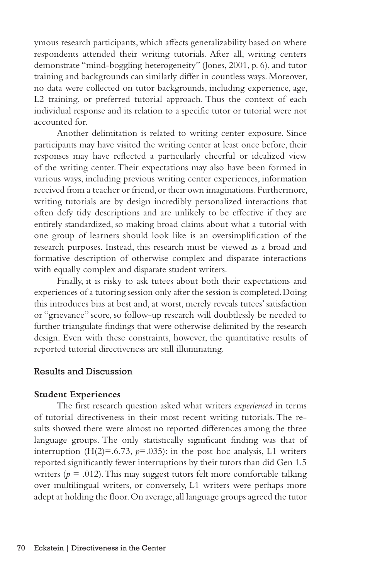ymous research participants, which affects generalizability based on where respondents attended their writing tutorials. After all, writing centers demonstrate "mind-boggling heterogeneity" (Jones, 2001, p. 6), and tutor training and backgrounds can similarly differ in countless ways. Moreover, no data were collected on tutor backgrounds, including experience, age, L2 training, or preferred tutorial approach. Thus the context of each individual response and its relation to a specific tutor or tutorial were not accounted for.

Another delimitation is related to writing center exposure. Since participants may have visited the writing center at least once before, their responses may have reflected a particularly cheerful or idealized view of the writing center. Their expectations may also have been formed in various ways, including previous writing center experiences, information received from a teacher or friend, or their own imaginations. Furthermore, writing tutorials are by design incredibly personalized interactions that often defy tidy descriptions and are unlikely to be effective if they are entirely standardized, so making broad claims about what a tutorial with one group of learners should look like is an oversimplification of the research purposes. Instead, this research must be viewed as a broad and formative description of otherwise complex and disparate interactions with equally complex and disparate student writers.

Finally, it is risky to ask tutees about both their expectations and experiences of a tutoring session only after the session is completed. Doing this introduces bias at best and, at worst, merely reveals tutees' satisfaction or "grievance" score, so follow-up research will doubtlessly be needed to further triangulate findings that were otherwise delimited by the research design. Even with these constraints, however, the quantitative results of reported tutorial directiveness are still illuminating.

# Results and Discussion

#### **Student Experiences**

The first research question asked what writers *experienced* in terms of tutorial directiveness in their most recent writing tutorials. The results showed there were almost no reported differences among the three language groups. The only statistically significant finding was that of interruption  $(H(2)=0.6.73, p=.035)$ : in the post hoc analysis, L1 writers reported significantly fewer interruptions by their tutors than did Gen 1.5 writers ( $p = .012$ ). This may suggest tutors felt more comfortable talking over multilingual writers, or conversely, L1 writers were perhaps more adept at holding the floor. On average, all language groups agreed the tutor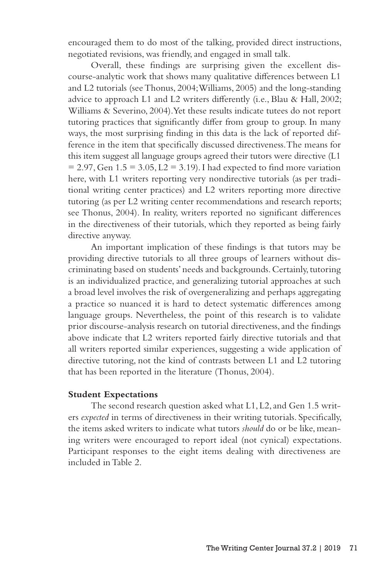encouraged them to do most of the talking, provided direct instructions, negotiated revisions, was friendly, and engaged in small talk.

Overall, these findings are surprising given the excellent discourse-analytic work that shows many qualitative differences between L1 and L2 tutorials (see Thonus, 2004; Williams, 2005) and the long-standing advice to approach L1 and L2 writers differently (i.e., Blau & Hall, 2002; Williams & Severino, 2004). Yet these results indicate tutees do not report tutoring practices that significantly differ from group to group. In many ways, the most surprising finding in this data is the lack of reported difference in the item that specifically discussed directiveness. The means for this item suggest all language groups agreed their tutors were directive (L1  $= 2.97$ , Gen  $1.5 = 3.05$ ,  $L2 = 3.19$ ). I had expected to find more variation here, with L1 writers reporting very nondirective tutorials (as per traditional writing center practices) and L2 writers reporting more directive tutoring (as per L2 writing center recommendations and research reports; see Thonus, 2004). In reality, writers reported no significant differences in the directiveness of their tutorials, which they reported as being fairly directive anyway.

An important implication of these findings is that tutors may be providing directive tutorials to all three groups of learners without discriminating based on students' needs and backgrounds. Certainly, tutoring is an individualized practice, and generalizing tutorial approaches at such a broad level involves the risk of overgeneralizing and perhaps aggregating a practice so nuanced it is hard to detect systematic differences among language groups. Nevertheless, the point of this research is to validate prior discourse-analysis research on tutorial directiveness, and the findings above indicate that L2 writers reported fairly directive tutorials and that all writers reported similar experiences, suggesting a wide application of directive tutoring, not the kind of contrasts between L1 and L2 tutoring that has been reported in the literature (Thonus, 2004).

#### **Student Expectations**

The second research question asked what L1, L2, and Gen 1.5 writers *expected* in terms of directiveness in their writing tutorials. Specifically, the items asked writers to indicate what tutors *should* do or be like, meaning writers were encouraged to report ideal (not cynical) expectations. Participant responses to the eight items dealing with directiveness are included in Table 2.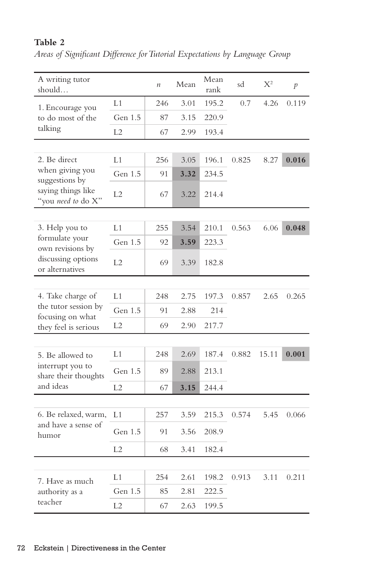| A writing tutor<br>should…               |                | $\boldsymbol{n}$ | Mean | Mean<br>rank | sd    | $X^2$ | p     |
|------------------------------------------|----------------|------------------|------|--------------|-------|-------|-------|
| 1. Encourage you                         | L1             | 246              | 3.01 | 195.2        | 0.7   | 4.26  | 0.119 |
| to do most of the                        | Gen 1.5        | 87               | 3.15 | 220.9        |       |       |       |
| talking                                  | L2             | 67               | 2.99 | 193.4        |       |       |       |
|                                          |                |                  |      |              |       |       |       |
| 2. Be direct                             | L1             | 256              | 3.05 | 196.1        | 0.825 | 8.27  | 0.016 |
| when giving you<br>suggestions by        | Gen 1.5        | 91               | 3.32 | 234.5        |       |       |       |
| saying things like<br>"you need to do X" | L <sub>2</sub> | 67               | 3.22 | 214.4        |       |       |       |
|                                          |                |                  |      |              |       |       |       |
| 3. Help you to                           | L1             | 255              | 3.54 | 210.1        | 0.563 | 6.06  | 0.048 |
| formulate your<br>own revisions by       | Gen 1.5        | 92               | 3.59 | 223.3        |       |       |       |
| discussing options<br>or alternatives    | L2             | 69               | 3.39 | 182.8        |       |       |       |
|                                          |                |                  |      |              |       |       |       |
| 4. Take charge of                        | L1             | 248              | 2.75 | 197.3        | 0.857 | 2.65  | 0.265 |
| the tutor session by<br>focusing on what | Gen 1.5        | 91               | 2.88 | 214          |       |       |       |
| they feel is serious                     | L2             | 69               | 2.90 | 217.7        |       |       |       |
|                                          |                |                  |      |              |       |       |       |
| 5. Be allowed to                         | L1             | 248              | 2.69 | 187.4        | 0.882 | 15.11 | 0.001 |
| interrupt you to<br>share their thoughts | Gen 1.5        | 89               | 2.88 | 213.1        |       |       |       |
| and ideas                                | L2             | 67               | 3.15 | 244.4        |       |       |       |
|                                          |                |                  |      |              |       |       |       |
| 6. Be relaxed, warm,                     | L1             | 257              | 3.59 | 215.3        | 0.574 | 5.45  | 0.066 |
| and have a sense of<br>humor             | Gen 1.5        | 91               | 3.56 | 208.9        |       |       |       |
|                                          | L2             | 68               | 3.41 | 182.4        |       |       |       |
|                                          |                |                  |      |              |       |       |       |
| 7. Have as much                          | L1             | 254              | 2.61 | 198.2        | 0.913 | 3.11  | 0.211 |
| authority as a                           | Gen 1.5        | 85               | 2.81 | 222.5        |       |       |       |
| teacher                                  | L2             | 67               | 2.63 | 199.5        |       |       |       |

# **Table 2**

*Areas of Significant Difference for Tutorial Expectations by Language Group*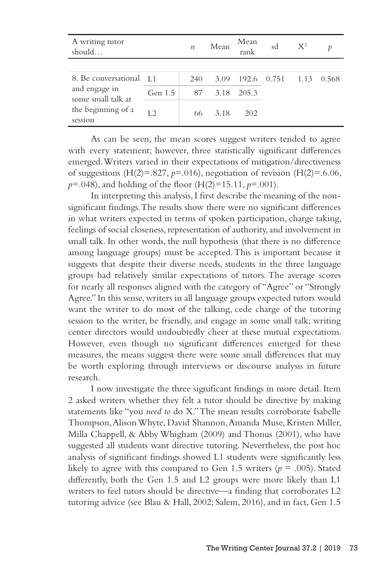| A writing tutor<br>should                                                                        |         | $\boldsymbol{n}$ | Mean | Mean<br>rank | sd | $X^2$ |       |
|--------------------------------------------------------------------------------------------------|---------|------------------|------|--------------|----|-------|-------|
|                                                                                                  |         |                  |      |              |    |       |       |
| 8. Be conversational [1]<br>and engage in<br>some small talk at<br>the beginning of a<br>session |         | 240              | 3.09 | 192.6 0.751  |    | -1.13 | 0.568 |
|                                                                                                  | Gen 1.5 | 87               | 3.18 | 205.3        |    |       |       |
|                                                                                                  | L2      | 66               | 3.18 | 202          |    |       |       |

As can be seen, the mean scores suggest writers tended to agree with every statement; however, three statistically significant differences emerged. Writers varied in their expectations of mitigation/directiveness of suggestions  $(H(2)=.827, p=.016)$ , negotiation of revision  $(H(2)=.6.06, p.)$ *p*=.048), and holding of the floor (H(2)=15.11, *p*=.001).

In interpreting this analysis, I first describe the meaning of the nonsignificant findings. The results show there were no significant differences in what writers expected in terms of spoken participation, charge taking, feelings of social closeness, representation of authority, and involvement in small talk. In other words, the null hypothesis (that there is no difference among language groups) must be accepted. This is important because it suggests that despite their diverse needs, students in the three language groups had relatively similar expectations of tutors. The average scores for nearly all responses aligned with the category of "Agree" or "Strongly Agree." In this sense, writers in all language groups expected tutors would want the writer to do most of the talking, cede charge of the tutoring session to the writer, be friendly, and engage in some small talk; writing center directors would undoubtedly cheer at these mutual expectations. However, even though no significant differences emerged for these measures, the means suggest there were some small differences that may be worth exploring through interviews or discourse analysis in future research.

I now investigate the three significant findings in more detail. Item 2 asked writers whether they felt a tutor should be directive by making statements like "you *need to* do X." The mean results corroborate Isabelle Thompson, Alison Whyte, David Shannon, Amanda Muse, Kristen Miller, Milla Chappell, & Abby Whigham (2009) and Thonus (2001), who have suggested all students want directive tutoring. Nevertheless, the post hoc analysis of significant findings showed L1 students were significantly less likely to agree with this compared to Gen 1.5 writers ( $p = .005$ ). Stated differently, both the Gen 1.5 and L2 groups were more likely than L1 writers to feel tutors should be directive—a finding that corroborates L2 tutoring advice (see Blau & Hall, 2002; Salem, 2016), and in fact, Gen 1.5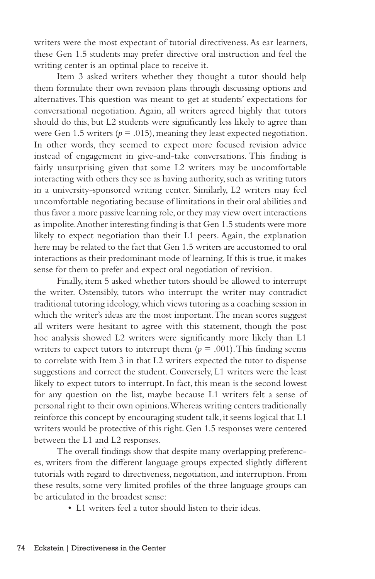writers were the most expectant of tutorial directiveness. As ear learners, these Gen 1.5 students may prefer directive oral instruction and feel the writing center is an optimal place to receive it.

Item 3 asked writers whether they thought a tutor should help them formulate their own revision plans through discussing options and alternatives. This question was meant to get at students' expectations for conversational negotiation. Again, all writers agreed highly that tutors should do this, but L2 students were significantly less likely to agree than were Gen 1.5 writers ( $p = .015$ ), meaning they least expected negotiation. In other words, they seemed to expect more focused revision advice instead of engagement in give-and-take conversations. This finding is fairly unsurprising given that some L2 writers may be uncomfortable interacting with others they see as having authority, such as writing tutors in a university-sponsored writing center. Similarly, L2 writers may feel uncomfortable negotiating because of limitations in their oral abilities and thus favor a more passive learning role, or they may view overt interactions as impolite. Another interesting finding is that Gen 1.5 students were more likely to expect negotiation than their L1 peers. Again, the explanation here may be related to the fact that Gen 1.5 writers are accustomed to oral interactions as their predominant mode of learning. If this is true, it makes sense for them to prefer and expect oral negotiation of revision.

Finally, item 5 asked whether tutors should be allowed to interrupt the writer. Ostensibly, tutors who interrupt the writer may contradict traditional tutoring ideology, which views tutoring as a coaching session in which the writer's ideas are the most important. The mean scores suggest all writers were hesitant to agree with this statement, though the post hoc analysis showed L2 writers were significantly more likely than L1 writers to expect tutors to interrupt them  $(p = .001)$ . This finding seems to correlate with Item 3 in that L2 writers expected the tutor to dispense suggestions and correct the student. Conversely, L1 writers were the least likely to expect tutors to interrupt. In fact, this mean is the second lowest for any question on the list, maybe because L1 writers felt a sense of personal right to their own opinions. Whereas writing centers traditionally reinforce this concept by encouraging student talk, it seems logical that L1 writers would be protective of this right. Gen 1.5 responses were centered between the L1 and L2 responses.

The overall findings show that despite many overlapping preferences, writers from the different language groups expected slightly different tutorials with regard to directiveness, negotiation, and interruption. From these results, some very limited profiles of the three language groups can be articulated in the broadest sense:

• L1 writers feel a tutor should listen to their ideas.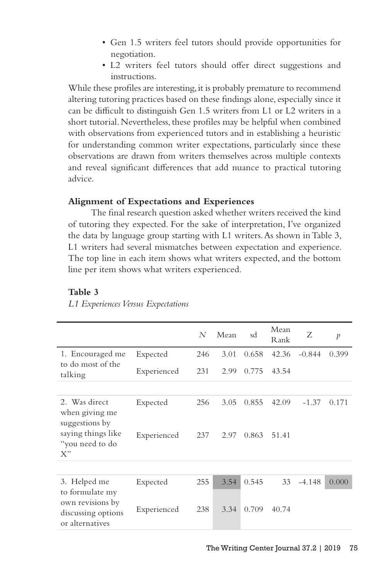- Gen 1.5 writers feel tutors should provide opportunities for negotiation.
- L2 writers feel tutors should offer direct suggestions and instructions.

While these profiles are interesting, it is probably premature to recommend altering tutoring practices based on these findings alone, especially since it can be difficult to distinguish Gen 1.5 writers from L1 or L2 writers in a short tutorial. Nevertheless, these profiles may be helpful when combined with observations from experienced tutors and in establishing a heuristic for understanding common writer expectations, particularly since these observations are drawn from writers themselves across multiple contexts and reveal significant differences that add nuance to practical tutoring advice.

# **Alignment of Expectations and Experiences**

The final research question asked whether writers received the kind of tutoring they expected. For the sake of interpretation, I've organized the data by language group starting with L1 writers. As shown in Table 3, L1 writers had several mismatches between expectation and experience. The top line in each item shows what writers expected, and the bottom line per item shows what writers experienced.

## **Table 3**

|                                                           |             | N   | Mean | sd    | Mean<br>Rank | Ζ        | $\mathcal{P}$ |
|-----------------------------------------------------------|-------------|-----|------|-------|--------------|----------|---------------|
| 1. Encouraged me<br>to do most of the                     | Expected    | 246 | 3.01 | 0.658 | 42.36        | $-0.844$ | 0.399         |
| talking                                                   | Experienced | 231 | 2.99 | 0.775 | 43.54        |          |               |
|                                                           |             |     |      |       |              |          |               |
| 2. Was direct<br>when giving me<br>suggestions by         | Expected    | 256 | 3.05 | 0.855 | 42.09        | $-1.37$  | 0.171         |
| saying things like<br>"you need to do<br>X"               | Experienced | 237 | 2.97 | 0.863 | 51.41        |          |               |
|                                                           |             |     |      |       |              |          |               |
| 3. Helped me<br>to formulate my                           | Expected    | 255 | 3.54 | 0.545 | 33           | $-4.148$ | 0.000         |
| own revisions by<br>discussing options<br>or alternatives | Experienced | 238 | 3.34 | 0.709 | 40.74        |          |               |

*L1 Experiences Versus Expectations*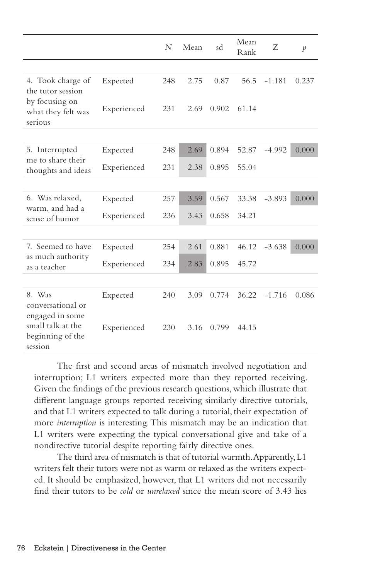|                                                  |             | N   | Mean | sd    | Mean<br>Rank | Z        | $\mathcal{P}$ |
|--------------------------------------------------|-------------|-----|------|-------|--------------|----------|---------------|
|                                                  |             |     |      |       |              |          |               |
| 4. Took charge of<br>the tutor session           | Expected    | 248 | 2.75 | 0.87  | 56.5         | $-1.181$ | 0.237         |
| by focusing on<br>what they felt was<br>serious  | Experienced | 231 | 2.69 | 0.902 | 61.14        |          |               |
|                                                  |             |     |      |       |              |          |               |
| 5. Interrupted<br>me to share their              | Expected    | 248 | 2.69 | 0.894 | 52.87        | $-4.992$ | 0.000         |
| thoughts and ideas                               | Experienced | 231 | 2.38 | 0.895 | 55.04        |          |               |
|                                                  |             |     |      |       |              |          |               |
| 6. Was relaxed,                                  | Expected    | 257 | 3.59 | 0.567 | 33.38        | $-3.893$ | 0.000         |
| warm, and had a<br>sense of humor                | Experienced | 236 | 3.43 | 0.658 | 34.21        |          |               |
|                                                  |             |     |      |       |              |          |               |
| 7. Seemed to have                                | Expected    | 254 | 2.61 | 0.881 | 46.12        | $-3.638$ | 0.000         |
| as much authority<br>as a teacher                | Experienced | 234 | 2.83 | 0.895 | 45.72        |          |               |
|                                                  |             |     |      |       |              |          |               |
| 8. Was<br>conversational or<br>engaged in some   | Expected    | 240 | 3.09 | 0.774 | 36.22        | $-1.716$ | 0.086         |
| small talk at the<br>beginning of the<br>session | Experienced | 230 | 3.16 | 0.799 | 44.15        |          |               |

The first and second areas of mismatch involved negotiation and interruption; L1 writers expected more than they reported receiving. Given the findings of the previous research questions, which illustrate that different language groups reported receiving similarly directive tutorials, and that L1 writers expected to talk during a tutorial, their expectation of more *interruption* is interesting. This mismatch may be an indication that L1 writers were expecting the typical conversational give and take of a nondirective tutorial despite reporting fairly directive ones.

The third area of mismatch is that of tutorial warmth. Apparently, L1 writers felt their tutors were not as warm or relaxed as the writers expected. It should be emphasized, however, that L1 writers did not necessarily find their tutors to be *cold* or *unrelaxed* since the mean score of 3.43 lies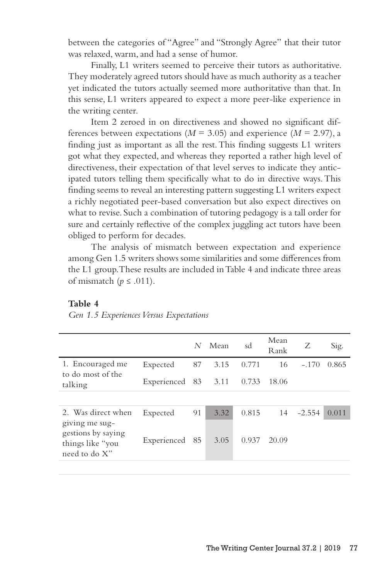between the categories of "Agree" and "Strongly Agree" that their tutor was relaxed, warm, and had a sense of humor.

Finally, L1 writers seemed to perceive their tutors as authoritative. They moderately agreed tutors should have as much authority as a teacher yet indicated the tutors actually seemed more authoritative than that. In this sense, L1 writers appeared to expect a more peer-like experience in the writing center.

Item 2 zeroed in on directiveness and showed no significant differences between expectations ( $M = 3.05$ ) and experience ( $M = 2.97$ ), a finding just as important as all the rest. This finding suggests L1 writers got what they expected, and whereas they reported a rather high level of directiveness, their expectation of that level serves to indicate they anticipated tutors telling them specifically what to do in directive ways. This finding seems to reveal an interesting pattern suggesting L1 writers expect a richly negotiated peer-based conversation but also expect directives on what to revise. Such a combination of tutoring pedagogy is a tall order for sure and certainly reflective of the complex juggling act tutors have been obliged to perform for decades.

The analysis of mismatch between expectation and experience among Gen 1.5 writers shows some similarities and some differences from the L1 group. These results are included in Table 4 and indicate three areas of mismatch ( $p \leq .011$ ).

# **Table 4**

*Gen 1.5 Experiences Versus Expectations*

|                                                                           |                     | N  | Mean | sd    | Mean<br>Rank | Ζ        | Sig.  |
|---------------------------------------------------------------------------|---------------------|----|------|-------|--------------|----------|-------|
| 1. Encouraged me<br>to do most of the                                     | Expected            | 87 | 3.15 | 0.771 | 16           | $-.170$  | 0.865 |
| talking                                                                   | Experienced 83 3.11 |    |      | 0.733 | 18.06        |          |       |
|                                                                           |                     |    |      |       |              |          |       |
| 2. Was direct when                                                        | Expected            | 91 | 3.32 | 0.815 | 14           | $-2.554$ | 0.011 |
| giving me sug-<br>gestions by saying<br>things like "you<br>need to do X" | Experienced         | 85 | 3.05 | 0.937 | 20.09        |          |       |
|                                                                           |                     |    |      |       |              |          |       |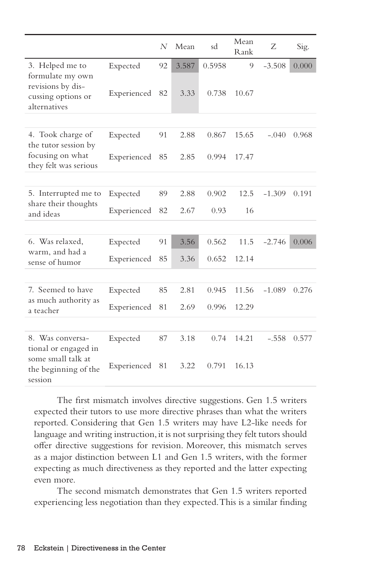|                                                         |             | N  | Mean  | sd     | Mean<br>Rank | Ζ        | Sig.  |
|---------------------------------------------------------|-------------|----|-------|--------|--------------|----------|-------|
| 3. Helped me to<br>formulate my own                     | Expected    | 92 | 3.587 | 0.5958 | 9            | $-3.508$ | 0.000 |
| revisions by dis-<br>cussing options or<br>alternatives | Experienced | 82 | 3.33  | 0.738  | 10.67        |          |       |
|                                                         |             |    |       |        |              |          |       |
| 4. Took charge of<br>the tutor session by               | Expected    | 91 | 2.88  | 0.867  | 15.65        | $-.040$  | 0.968 |
| focusing on what<br>they felt was serious               | Experienced | 85 | 2.85  | 0.994  | 17.47        |          |       |
|                                                         |             |    |       |        |              |          |       |
| 5. Interrupted me to<br>share their thoughts            | Expected    | 89 | 2.88  | 0.902  | 12.5         | $-1.309$ | 0.191 |
| and ideas                                               | Experienced | 82 | 2.67  | 0.93   | 16           |          |       |
|                                                         |             |    |       |        |              |          |       |
| 6. Was relaxed,                                         | Expected    | 91 | 3.56  | 0.562  | 11.5         | $-2.746$ | 0.006 |
| warm, and had a<br>sense of humor                       | Experienced | 85 | 3.36  | 0.652  | 12.14        |          |       |
|                                                         |             |    |       |        |              |          |       |
| 7. Seemed to have                                       | Expected    | 85 | 2.81  | 0.945  | 11.56        | $-1.089$ | 0.276 |
| as much authority as<br>a teacher                       | Experienced | 81 | 2.69  | 0.996  | 12.29        |          |       |
|                                                         |             |    |       |        |              |          |       |
| 8. Was conversa-<br>tional or engaged in                | Expected    | 87 | 3.18  | 0.74   | 14.21        | $-.558$  | 0.577 |
| some small talk at<br>the beginning of the<br>session   | Experienced | 81 | 3.22  | 0.791  | 16.13        |          |       |

The first mismatch involves directive suggestions. Gen 1.5 writers expected their tutors to use more directive phrases than what the writers reported. Considering that Gen 1.5 writers may have L2-like needs for language and writing instruction, it is not surprising they felt tutors should offer directive suggestions for revision. Moreover, this mismatch serves as a major distinction between L1 and Gen 1.5 writers, with the former expecting as much directiveness as they reported and the latter expecting even more.

The second mismatch demonstrates that Gen 1.5 writers reported experiencing less negotiation than they expected. This is a similar finding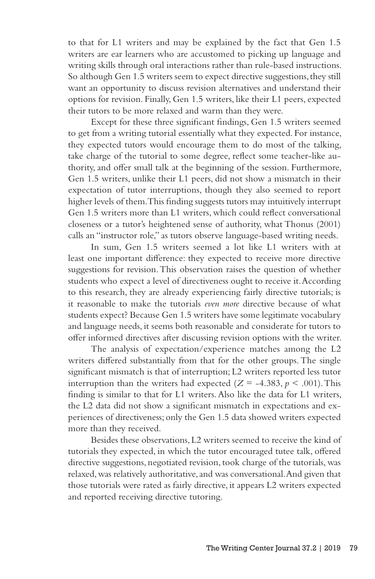to that for L1 writers and may be explained by the fact that Gen 1.5 writers are ear learners who are accustomed to picking up language and writing skills through oral interactions rather than rule-based instructions. So although Gen 1.5 writers seem to expect directive suggestions, they still want an opportunity to discuss revision alternatives and understand their options for revision. Finally, Gen 1.5 writers, like their L1 peers, expected their tutors to be more relaxed and warm than they were.

Except for these three significant findings, Gen 1.5 writers seemed to get from a writing tutorial essentially what they expected. For instance, they expected tutors would encourage them to do most of the talking, take charge of the tutorial to some degree, reflect some teacher-like authority, and offer small talk at the beginning of the session. Furthermore, Gen 1.5 writers, unlike their L1 peers, did not show a mismatch in their expectation of tutor interruptions, though they also seemed to report higher levels of them. This finding suggests tutors may intuitively interrupt Gen 1.5 writers more than L1 writers, which could reflect conversational closeness or a tutor's heightened sense of authority, what Thonus (2001) calls an "instructor role," as tutors observe language-based writing needs.

In sum, Gen 1.5 writers seemed a lot like L1 writers with at least one important difference: they expected to receive more directive suggestions for revision. This observation raises the question of whether students who expect a level of directiveness ought to receive it. According to this research, they are already experiencing fairly directive tutorials; is it reasonable to make the tutorials *even more* directive because of what students expect? Because Gen 1.5 writers have some legitimate vocabulary and language needs, it seems both reasonable and considerate for tutors to offer informed directives after discussing revision options with the writer.

The analysis of expectation/experience matches among the L2 writers differed substantially from that for the other groups. The single significant mismatch is that of interruption; L2 writers reported less tutor interruption than the writers had expected  $(Z = -4.383, p < .001)$ . This finding is similar to that for L1 writers. Also like the data for L1 writers, the L2 data did not show a significant mismatch in expectations and experiences of directiveness; only the Gen 1.5 data showed writers expected more than they received.

Besides these observations, L2 writers seemed to receive the kind of tutorials they expected, in which the tutor encouraged tutee talk, offered directive suggestions, negotiated revision, took charge of the tutorials, was relaxed, was relatively authoritative, and was conversational. And given that those tutorials were rated as fairly directive, it appears L2 writers expected and reported receiving directive tutoring.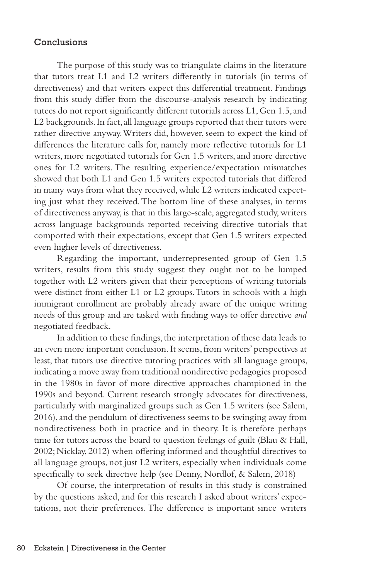# Conclusions

The purpose of this study was to triangulate claims in the literature that tutors treat L1 and L2 writers differently in tutorials (in terms of directiveness) and that writers expect this differential treatment. Findings from this study differ from the discourse-analysis research by indicating tutees do not report significantly different tutorials across L1, Gen 1.5, and L2 backgrounds. In fact, all language groups reported that their tutors were rather directive anyway. Writers did, however, seem to expect the kind of differences the literature calls for, namely more reflective tutorials for L1 writers, more negotiated tutorials for Gen 1.5 writers, and more directive ones for L2 writers. The resulting experience/expectation mismatches showed that both L1 and Gen 1.5 writers expected tutorials that differed in many ways from what they received, while L2 writers indicated expecting just what they received. The bottom line of these analyses, in terms of directiveness anyway, is that in this large-scale, aggregated study, writers across language backgrounds reported receiving directive tutorials that comported with their expectations, except that Gen 1.5 writers expected even higher levels of directiveness.

Regarding the important, underrepresented group of Gen 1.5 writers, results from this study suggest they ought not to be lumped together with L2 writers given that their perceptions of writing tutorials were distinct from either L1 or L2 groups. Tutors in schools with a high immigrant enrollment are probably already aware of the unique writing needs of this group and are tasked with finding ways to offer directive *and* negotiated feedback.

In addition to these findings, the interpretation of these data leads to an even more important conclusion. It seems, from writers' perspectives at least, that tutors use directive tutoring practices with all language groups, indicating a move away from traditional nondirective pedagogies proposed in the 1980s in favor of more directive approaches championed in the 1990s and beyond. Current research strongly advocates for directiveness, particularly with marginalized groups such as Gen 1.5 writers (see Salem, 2016), and the pendulum of directiveness seems to be swinging away from nondirectiveness both in practice and in theory. It is therefore perhaps time for tutors across the board to question feelings of guilt (Blau & Hall, 2002; Nicklay, 2012) when offering informed and thoughtful directives to all language groups, not just L2 writers, especially when individuals come specifically to seek directive help (see Denny, Nordlof, & Salem, 2018)

Of course, the interpretation of results in this study is constrained by the questions asked, and for this research I asked about writers' expectations, not their preferences. The difference is important since writers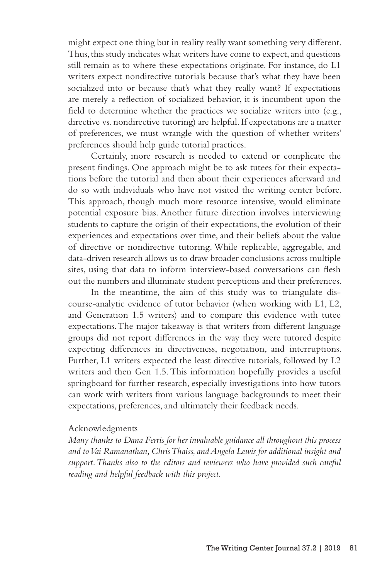might expect one thing but in reality really want something very different. Thus, this study indicates what writers have come to expect, and questions still remain as to where these expectations originate. For instance, do L1 writers expect nondirective tutorials because that's what they have been socialized into or because that's what they really want? If expectations are merely a reflection of socialized behavior, it is incumbent upon the field to determine whether the practices we socialize writers into (e.g., directive vs. nondirective tutoring) are helpful. If expectations are a matter of preferences, we must wrangle with the question of whether writers' preferences should help guide tutorial practices.

Certainly, more research is needed to extend or complicate the present findings. One approach might be to ask tutees for their expectations before the tutorial and then about their experiences afterward and do so with individuals who have not visited the writing center before. This approach, though much more resource intensive, would eliminate potential exposure bias. Another future direction involves interviewing students to capture the origin of their expectations, the evolution of their experiences and expectations over time, and their beliefs about the value of directive or nondirective tutoring. While replicable, aggregable, and data-driven research allows us to draw broader conclusions across multiple sites, using that data to inform interview-based conversations can flesh out the numbers and illuminate student perceptions and their preferences.

In the meantime, the aim of this study was to triangulate discourse-analytic evidence of tutor behavior (when working with L1, L2, and Generation 1.5 writers) and to compare this evidence with tutee expectations. The major takeaway is that writers from different language groups did not report differences in the way they were tutored despite expecting differences in directiveness, negotiation, and interruptions. Further, L1 writers expected the least directive tutorials, followed by L2 writers and then Gen 1.5. This information hopefully provides a useful springboard for further research, especially investigations into how tutors can work with writers from various language backgrounds to meet their expectations, preferences, and ultimately their feedback needs.

#### Acknowledgments

*Many thanks to Dana Ferris for her invaluable guidance all throughout this process and to Vai Ramanathan, Chris Thaiss, and Angela Lewis for additional insight and*  support. Thanks also to the editors and reviewers who have provided such careful *reading and helpful feedback with this project.*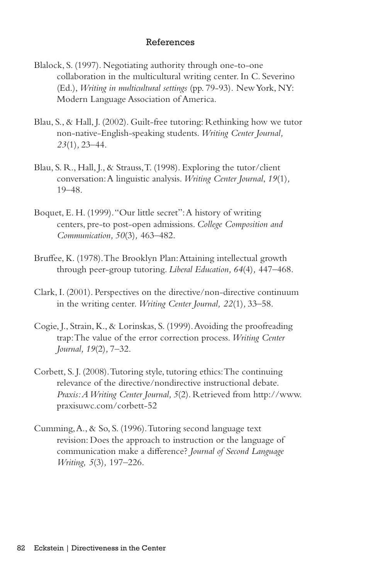## References

- Blalock, S. (1997). Negotiating authority through one-to-one collaboration in the multicultural writing center. In C. Severino (Ed.), *Writing in multicultural settings* (pp. 79-93)*.* New York, NY: Modern Language Association of America.
- Blau, S., & Hall, J. (2002). Guilt-free tutoring: Rethinking how we tutor non-native-English-speaking students. *Writing Center Journal, 23*(1)*,* 23–44.
- Blau, S. R., Hall, J., & Strauss, T. (1998). Exploring the tutor/client conversation: A linguistic analysis. *Writing Center Journal*, *19*(1)*,* 19–48.
- Boquet, E. H. (1999). "Our little secret": A history of writing centers, pre-to post-open admissions. *College Composition and Communication, 50*(3)*,* 463–482.
- Bruffee, K. (1978). The Brooklyn Plan: Attaining intellectual growth through peer-group tutoring. *Liberal Education, 64*(4)*,* 447–468.
- Clark, I. (2001). Perspectives on the directive/non-directive continuum in the writing center. *Writing Center Journal, 22*(1)*,* 33–58.
- Cogie, J., Strain, K., & Lorinskas, S. (1999). Avoiding the proofreading trap: The value of the error correction process. *Writing Center Journal, 19*(2)*,* 7–32.
- Corbett, S. J. (2008). Tutoring style, tutoring ethics: The continuing relevance of the directive/nondirective instructional debate. *Praxis: A Writing Center Journal, 5*(2). Retrieved from http://www. praxisuwc.com/corbett-52
- Cumming, A., & So, S. (1996). Tutoring second language text revision: Does the approach to instruction or the language of communication make a difference? *Journal of Second Language Writing, 5*(3)*,* 197–226.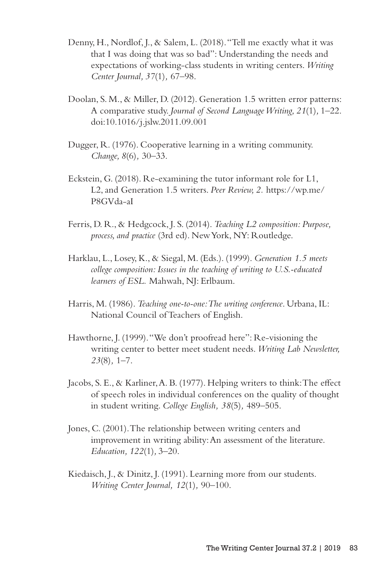- Denny, H., Nordlof, J., & Salem, L. (2018). "Tell me exactly what it was that I was doing that was so bad": Understanding the needs and expectations of working-class students in writing centers. *Writing Center Journal, 37*(1)*,* 67–98.
- Doolan, S. M., & Miller, D. (2012). Generation 1.5 written error patterns: A comparative study. *Journal of Second Language Writing, 21*(1)*,* 1–22. doi:10.1016/j.jslw.2011.09.001
- Dugger, R. (1976). Cooperative learning in a writing community. *Change, 8*(6)*,* 30–33.
- Eckstein, G. (2018). Re-examining the tutor informant role for L1, L2, and Generation 1.5 writers. *Peer Review, 2.* https://wp.me/ P8GVda-aI
- Ferris, D. R., & Hedgcock, J. S. (2014). *Teaching L2 composition: Purpose, process, and practice* (3rd ed). New York, NY: Routledge.
- Harklau, L., Losey, K., & Siegal, M. (Eds.). (1999). *Generation 1.5 meets college composition: Issues in the teaching of writing to U.S.-educated learners of ESL.* Mahwah, NJ: Erlbaum.
- Harris, M. (1986). *Teaching one-to-one: The writing conference*. Urbana, IL: National Council of Teachers of English.
- Hawthorne, J. (1999). "We don't proofread here": Re-visioning the writing center to better meet student needs. *Writing Lab Newsletter, 23*(8)*,* 1–7.
- Jacobs, S. E., & Karliner, A. B. (1977). Helping writers to think: The effect of speech roles in individual conferences on the quality of thought in student writing. *College English, 38*(5)*,* 489–505.
- Jones, C. (2001). The relationship between writing centers and improvement in writing ability: An assessment of the literature. *Education, 122*(1)*,* 3–20.
- Kiedaisch, J., & Dinitz, J. (1991). Learning more from our students. *Writing Center Journal, 12*(1)*,* 90–100.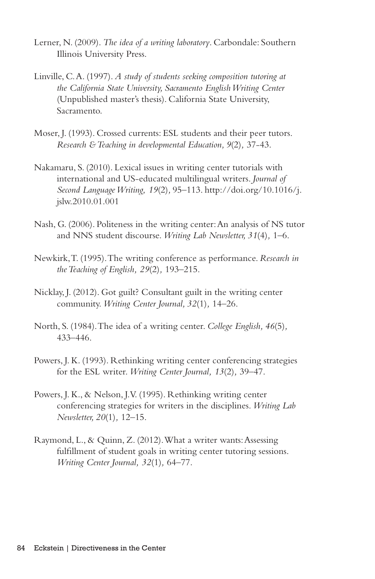- Lerner, N. (2009). *The idea of a writing laboratory*. Carbondale: Southern Illinois University Press.
- Linville, C. A. (1997). *A study of students seeking composition tutoring at the California State University, Sacramento English Writing Center*  (Unpublished master's thesis). California State University, Sacramento.
- Moser, J. (1993). Crossed currents: ESL students and their peer tutors. *Research & Teaching in developmental Education, 9*(2)*,* 37-43.
- Nakamaru, S. (2010). Lexical issues in writing center tutorials with international and US-educated multilingual writers. *Journal of Second Language Writing, 19*(2)*,* 95–113. http://doi.org/10.1016/j. jslw.2010.01.001
- Nash, G. (2006). Politeness in the writing center: An analysis of NS tutor and NNS student discourse. *Writing Lab Newsletter, 31*(4)*,* 1–6.
- Newkirk, T. (1995). The writing conference as performance. *Research in the Teaching of English, 29*(2)*,* 193–215.
- Nicklay, J. (2012). Got guilt? Consultant guilt in the writing center community. *Writing Center Journal, 32*(1)*,* 14–26.
- North, S. (1984). The idea of a writing center. *College English, 46*(5)*,* 433–446.
- Powers, J. K. (1993). Rethinking writing center conferencing strategies for the ESL writer. *Writing Center Journal, 13*(2)*,* 39–47.
- Powers, J. K., & Nelson, J.V. (1995). Rethinking writing center conferencing strategies for writers in the disciplines. *Writing Lab Newsletter, 20*(1)*,* 12–15.
- Raymond, L., & Quinn, Z. (2012). What a writer wants: Assessing fulfillment of student goals in writing center tutoring sessions. *Writing Center Journal, 32*(1)*,* 64–77.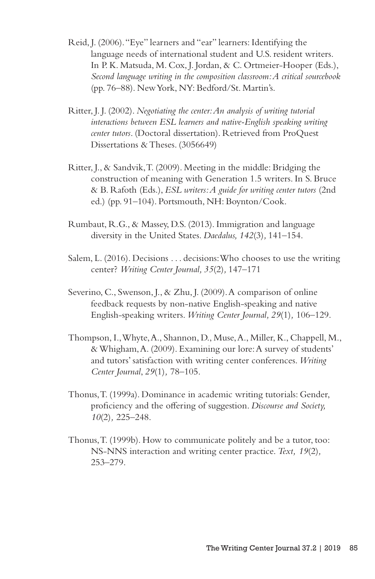- Reid, J. (2006). "Eye" learners and "ear" learners: Identifying the language needs of international student and U.S. resident writers. In P. K. Matsuda, M. Cox, J. Jordan, & C. Ortmeier-Hooper (Eds.), *Second language writing in the composition classroom: A critical sourcebook* (pp. 76–88). New York, NY: Bedford/St. Martin's.
- Ritter, J. J. (2002). *Negotiating the center: An analysis of writing tutorial interactions between ESL learners and native-English speaking writing center tutors*. (Doctoral dissertation). Retrieved from ProQuest Dissertations & Theses. (3056649)
- Ritter, J., & Sandvik, T. (2009). Meeting in the middle: Bridging the construction of meaning with Generation 1.5 writers. In S. Bruce & B. Rafoth (Eds.), *ESL writers: A guide for writing center tutors* (2nd ed.) (pp. 91–104). Portsmouth, NH: Boynton/Cook.
- Rumbaut, R.G., & Massey, D.S. (2013). Immigration and language diversity in the United States. *Daedalus, 142*(3)*,* 141–154.
- Salem, L. (2016). Decisions . . . decisions: Who chooses to use the writing center? *Writing Center Journal, 35*(2)*,* 147–171
- Severino, C., Swenson, J., & Zhu, J. (2009). A comparison of online feedback requests by non-native English-speaking and native English-speaking writers. *Writing Center Journal, 29*(1)*,* 106–129.
- Thompson, I., Whyte, A., Shannon, D., Muse, A., Miller, K., Chappell, M., & Whigham, A. (2009). Examining our lore: A survey of students' and tutors' satisfaction with writing center conferences. *Writing Center Journal*, *29*(1)*,* 78–105.
- Thonus, T. (1999a). Dominance in academic writing tutorials: Gender, proficiency and the offering of suggestion. *Discourse and Society, 10*(2)*,* 225–248.
- Thonus, T. (1999b). How to communicate politely and be a tutor, too: NS-NNS interaction and writing center practice. *Text, 19*(2)*,*  253–279.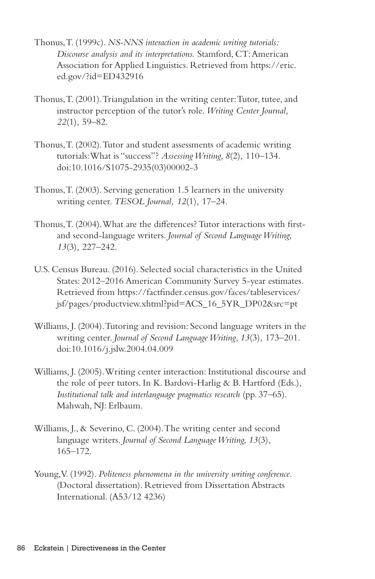- Thonus, T. (1999c). *NS-NNS interaction in academic writing tutorials: Discourse analysis and its interpretations.* Stamford, CT: American Association for Applied Linguistics. Retrieved from https://eric. ed.gov/?id=ED432916
- Thonus, T. (2001). Triangulation in the writing center: Tutor, tutee, and instructor perception of the tutor's role. *Writing Center Journal, 22*(1)*,* 59–82.
- Thonus, T. (2002). Tutor and student assessments of academic writing tutorials: What is "success"? *Assessing Writing, 8*(2)*,* 110–134. doi:10.1016/S1075-2935(03)00002-3
- Thonus, T. (2003). Serving generation 1.5 learners in the university writing center. *TESOL Journal, 12*(1)*,* 17–24.
- Thonus, T. (2004). What are the differences? Tutor interactions with firstand second-language writers. *Journal of Second Language Writing, 13*(3)*,* 227–242.
- U.S. Census Bureau. (2016). Selected social characteristics in the United States: 2012–2016 American Community Survey 5-year estimates. Retrieved from https://factfinder.census.gov/faces/tableservices/ jsf/pages/productview.xhtml?pid=ACS\_16\_5YR\_DP02&src=pt
- Williams, J. (2004). Tutoring and revision: Second language writers in the writing center. *Journal of Second Language Writing*, *13*(3)*,* 173–201. doi:10.1016/j.jslw.2004.04.009
- Williams, J. (2005). Writing center interaction: Institutional discourse and the role of peer tutors. In K. Bardovi-Harlig & B. Hartford (Eds.), *Institutional talk and interlanguage pragmatics research* (pp. 37–65). Mahwah, NJ: Erlbaum.
- Williams, J., & Severino, C. (2004). The writing center and second language writers. *Journal of Second Language Writing, 13*(3)*,* 165–172.
- Young, V. (1992). *Politeness phenomena in the university writing conference*. (Doctoral dissertation). Retrieved from Dissertation Abstracts International. (A53/12 4236)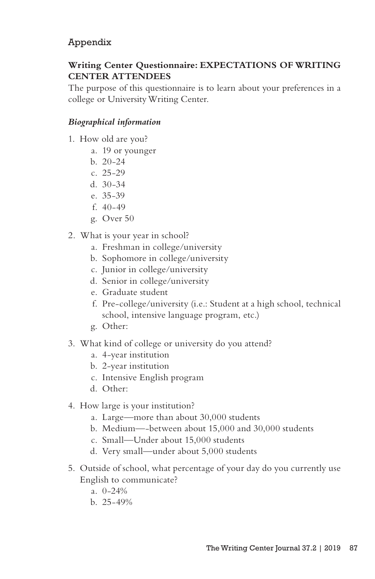# Appendix

# **Writing Center Questionnaire: EXPECTATIONS OF WRITING CENTER ATTENDEES**

The purpose of this questionnaire is to learn about your preferences in a college or University Writing Center.

# *Biographical information*

- 1. How old are you?
	- a. 19 or younger
	- b. 20-24
	- c. 25-29
	- d. 30-34
	- e. 35-39
	- f. 40-49
	- g. Over 50
- 2. What is your year in school?
	- a. Freshman in college/university
	- b. Sophomore in college/university
	- c. Junior in college/university
	- d. Senior in college/university
	- e. Graduate student
	- f. Pre-college/university (i.e.: Student at a high school, technical school, intensive language program, etc.)
	- g. Other:
- 3. What kind of college or university do you attend?
	- a. 4-year institution
	- b. 2-year institution
	- c. Intensive English program
	- d. Other:
- 4. How large is your institution?
	- a. Large—more than about 30,000 students
	- b. Medium—-between about 15,000 and 30,000 students
	- c. Small—Under about 15,000 students
	- d. Very small—under about 5,000 students
- 5. Outside of school, what percentage of your day do you currently use English to communicate?
	- a. 0-24%
	- b. 25-49%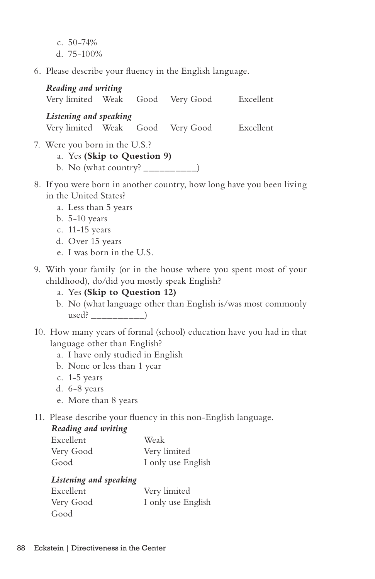c. 50-74% d. 75-100%

6. Please describe your fluency in the English language.

*Reading and writing*  Very limited Weak Good Very Good Excellent *Listening and speaking*  Very limited Weak Good Very Good Excellent

7. Were you born in the U.S.?

# a. Yes **(Skip to Question 9)**

b. No (what country?  $\frac{1}{\frac{1}{2}}$ 

- 8. If you were born in another country, how long have you been living in the United States?
	- a. Less than 5 years
	- b. 5-10 years
	- c. 11-15 years
	- d. Over 15 years
	- e. I was born in the U.S.
- 9. With your family (or in the house where you spent most of your childhood), do/did you mostly speak English?
	- a. Yes **(Skip to Question 12)**
	- b. No (what language other than English is/was most commonly used?
- 10. How many years of formal (school) education have you had in that language other than English?
	- a. I have only studied in English
	- b. None or less than 1 year
	- c. 1-5 years
	- d. 6-8 years
	- e. More than 8 years
- 11. Please describe your fluency in this non-English language.

# *Reading and writing*

| Excellent | Weak               |
|-----------|--------------------|
| Very Good | Very limited       |
| Good      | I only use English |

# *Listening and speaking*

| Excellent | Very limited       |
|-----------|--------------------|
| Very Good | I only use English |
| Good      |                    |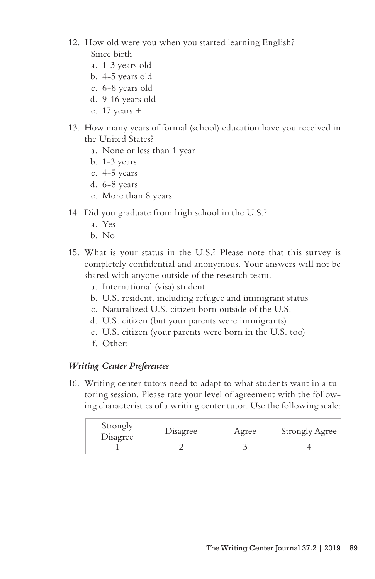- 12. How old were you when you started learning English? Since birth
	- a. 1-3 years old
	- b. 4-5 years old
	- c. 6-8 years old
	- d. 9-16 years old
	- e. 17 years +
- 13. How many years of formal (school) education have you received in the United States?
	- a. None or less than 1 year
	- b. 1-3 years
	- c. 4-5 years
	- d. 6-8 years
	- e. More than 8 years
- 14. Did you graduate from high school in the U.S.?
	- a. Yes
	- b. No
- 15. What is your status in the U.S.? Please note that this survey is completely confidential and anonymous. Your answers will not be shared with anyone outside of the research team.
	- a. International (visa) student
	- b. U.S. resident, including refugee and immigrant status
	- c. Naturalized U.S. citizen born outside of the U.S.
	- d. U.S. citizen (but your parents were immigrants)
	- e. U.S. citizen (your parents were born in the U.S. too)
	- f. Other:

# *Writing Center Preferences*

16. Writing center tutors need to adapt to what students want in a tutoring session. Please rate your level of agreement with the following characteristics of a writing center tutor. Use the following scale:

| Strongly<br>Disagree | Disagree | Agree | <b>Strongly Agree</b> |
|----------------------|----------|-------|-----------------------|
|                      |          |       |                       |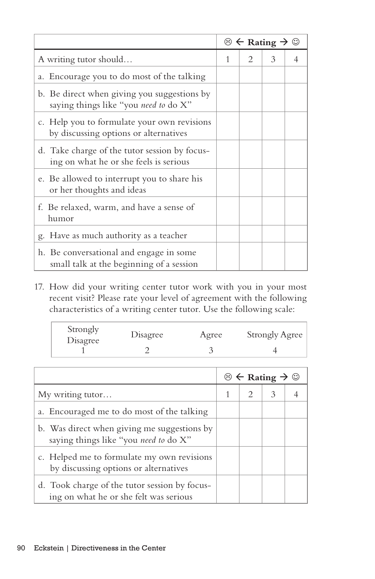|                                                                                         | $\odot \leftarrow$ Rating $\rightarrow \odot$ |                             |               |  |
|-----------------------------------------------------------------------------------------|-----------------------------------------------|-----------------------------|---------------|--|
| A writing tutor should                                                                  | 1                                             | $\mathcal{D}_{\mathcal{L}}$ | $\mathcal{E}$ |  |
| a. Encourage you to do most of the talking                                              |                                               |                             |               |  |
| b. Be direct when giving you suggestions by<br>saying things like "you need to do X"    |                                               |                             |               |  |
| c. Help you to formulate your own revisions<br>by discussing options or alternatives    |                                               |                             |               |  |
| d. Take charge of the tutor session by focus-<br>ing on what he or she feels is serious |                                               |                             |               |  |
| e. Be allowed to interrupt you to share his<br>or her thoughts and ideas                |                                               |                             |               |  |
| f. Be relaxed, warm, and have a sense of<br>humor                                       |                                               |                             |               |  |
| Have as much authority as a teacher<br>g.                                               |                                               |                             |               |  |
| h. Be conversational and engage in some<br>small talk at the beginning of a session     |                                               |                             |               |  |

17. How did your writing center tutor work with you in your most recent visit? Please rate your level of agreement with the following characteristics of a writing center tutor. Use the following scale:

|          | <b>Strongly Agree</b> |
|----------|-----------------------|
| Disagree |                       |

|                                                                                         | $\circledcirc$ $\leftarrow$ Rating $\rightarrow \circledcirc$ |               |   |  |
|-----------------------------------------------------------------------------------------|---------------------------------------------------------------|---------------|---|--|
| My writing tutor                                                                        |                                                               | $\mathcal{L}$ | 3 |  |
| a. Encouraged me to do most of the talking                                              |                                                               |               |   |  |
| b. Was direct when giving me suggestions by<br>saying things like "you need to do X"    |                                                               |               |   |  |
| c. Helped me to formulate my own revisions<br>by discussing options or alternatives     |                                                               |               |   |  |
| d. Took charge of the tutor session by focus-<br>ing on what he or she felt was serious |                                                               |               |   |  |